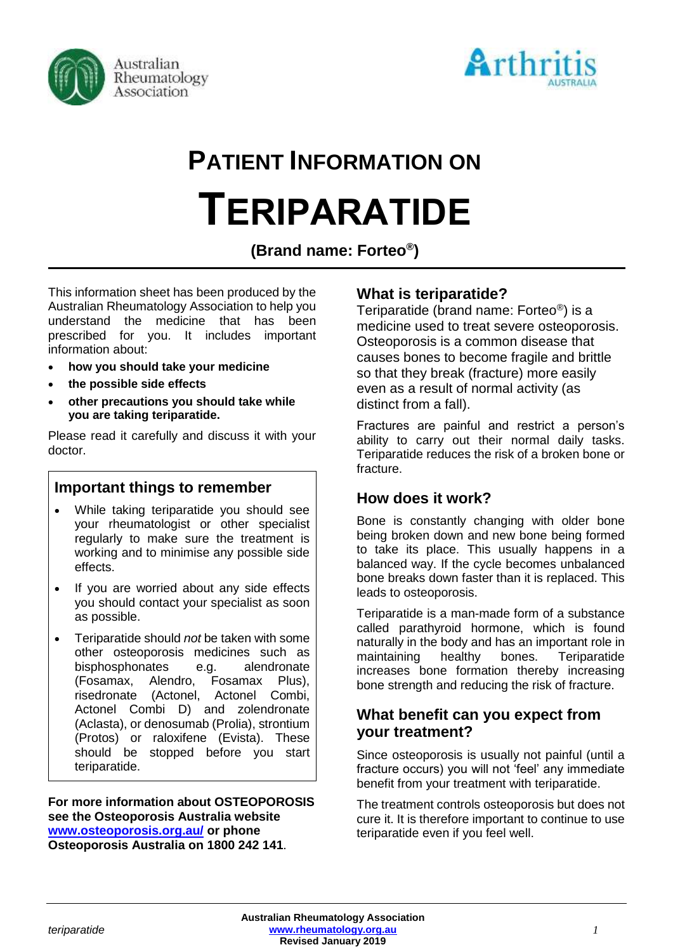



# **PATIENT INFORMATION ON TERIPARATIDE**

**(Brand name: Forteo® )**

This information sheet has been produced by the Australian Rheumatology Association to help you understand the medicine that has been prescribed for you. It includes important information about:

- **how you should take your medicine**
- **the possible side effects**
- **other precautions you should take while you are taking teriparatide.**

Please read it carefully and discuss it with your doctor.

#### **Important things to remember**

- While taking teriparatide you should see your rheumatologist or other specialist regularly to make sure the treatment is working and to minimise any possible side effects.
- If you are worried about any side effects you should contact your specialist as soon as possible.
- Teriparatide should *not* be taken with some other osteoporosis medicines such as bisphosphonates e.g. alendronate (Fosamax, Alendro, Fosamax Plus), risedronate (Actonel, Actonel Combi, Actonel Combi D) and zolendronate (Aclasta), or denosumab (Prolia), strontium (Protos) or raloxifene (Evista). These should be stopped before you start teriparatide.

**For more information about OSTEOPOROSIS see the Osteoporosis Australia website [www.osteoporosis.org.au/](http://www.osteoporosis.org.au/) or phone Osteoporosis Australia on 1800 242 141**.

## **What is teriparatide?**

Teriparatide (brand name: Forteo®) is a medicine used to treat severe osteoporosis. Osteoporosis is a common disease that causes bones to become fragile and brittle so that they break (fracture) more easily even as a result of normal activity (as distinct from a fall).

Fractures are painful and restrict a person's ability to carry out their normal daily tasks. Teriparatide reduces the risk of a broken bone or fracture.

## **How does it work?**

Bone is constantly changing with older bone being broken down and new bone being formed to take its place. This usually happens in a balanced way. If the cycle becomes unbalanced bone breaks down faster than it is replaced. This leads to osteoporosis.

Teriparatide is a man-made form of a substance called parathyroid hormone, which is found naturally in the body and has an important role in maintaining healthy bones. Teriparatide increases bone formation thereby increasing bone strength and reducing the risk of fracture.

# **What benefit can you expect from your treatment?**

Since osteoporosis is usually not painful (until a fracture occurs) you will not 'feel' any immediate benefit from your treatment with teriparatide.

The treatment controls osteoporosis but does not cure it. It is therefore important to continue to use teriparatide even if you feel well.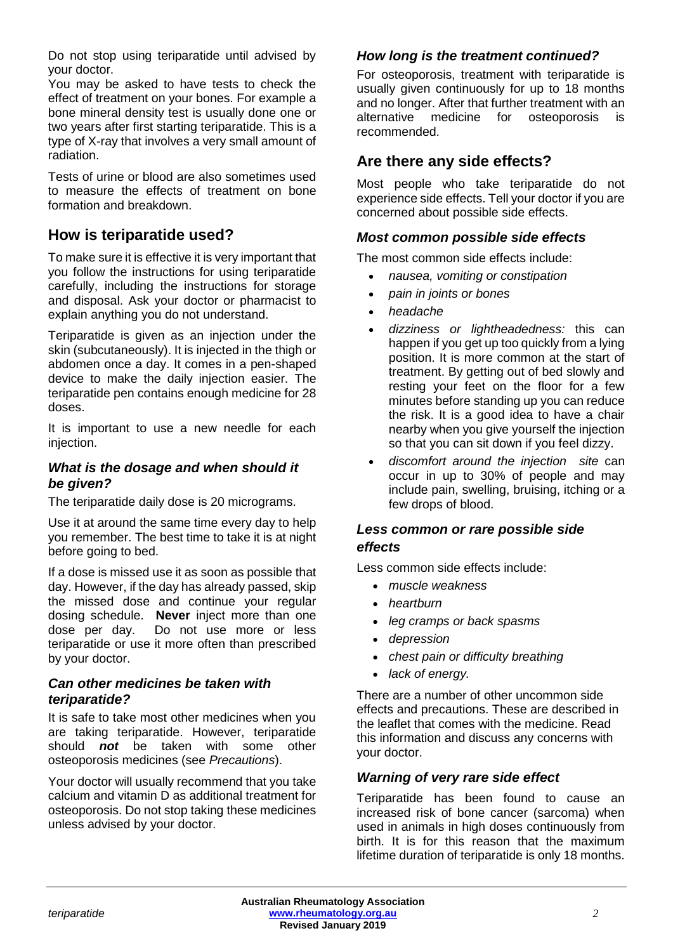Do not stop using teriparatide until advised by your doctor.

You may be asked to have tests to check the effect of treatment on your bones. For example a bone mineral density test is usually done one or two years after first starting teriparatide. This is a type of X-ray that involves a very small amount of radiation.

Tests of urine or blood are also sometimes used to measure the effects of treatment on bone formation and breakdown.

# **How is teriparatide used?**

To make sure it is effective it is very important that you follow the instructions for using teriparatide carefully, including the instructions for storage and disposal. Ask your doctor or pharmacist to explain anything you do not understand.

Teriparatide is given as an injection under the skin (subcutaneously). It is injected in the thigh or abdomen once a day. It comes in a pen-shaped device to make the daily injection easier. The teriparatide pen contains enough medicine for 28 doses.

It is important to use a new needle for each injection.

#### *What is the dosage and when should it be given?*

The teriparatide daily dose is 20 micrograms.

Use it at around the same time every day to help you remember. The best time to take it is at night before going to bed.

If a dose is missed use it as soon as possible that day. However, if the day has already passed, skip the missed dose and continue your regular dosing schedule. **Never** inject more than one dose per day. Do not use more or less teriparatide or use it more often than prescribed by your doctor.

#### *Can other medicines be taken with teriparatide?*

It is safe to take most other medicines when you are taking teriparatide. However, teriparatide should *not* be taken with some other osteoporosis medicines (see *Precautions*).

Your doctor will usually recommend that you take calcium and vitamin D as additional treatment for osteoporosis. Do not stop taking these medicines unless advised by your doctor.

#### *How long is the treatment continued?*

For osteoporosis, treatment with teriparatide is usually given continuously for up to 18 months and no longer. After that further treatment with an alternative medicine for osteoporosis is recommended.

# **Are there any side effects?**

Most people who take teriparatide do not experience side effects. Tell your doctor if you are concerned about possible side effects.

#### *Most common possible side effects*

The most common side effects include:

- *nausea, vomiting or constipation*
	- *pain in joints or bones*
- *headache*
- *dizziness or lightheadedness:* this can happen if you get up too quickly from a lying position. It is more common at the start of treatment. By getting out of bed slowly and resting your feet on the floor for a few minutes before standing up you can reduce the risk. It is a good idea to have a chair nearby when you give yourself the injection so that you can sit down if you feel dizzy.
- *discomfort around the injection site* can occur in up to 30% of people and may include pain, swelling, bruising, itching or a few drops of blood.

#### *Less common or rare possible side effects*

Less common side effects include:

- *muscle weakness*
- *heartburn*
- *leg cramps or back spasms*
- *depression*
- *chest pain or difficulty breathing*
- *lack of energy.*

There are a number of other uncommon side effects and precautions. These are described in the leaflet that comes with the medicine. Read this information and discuss any concerns with your doctor.

#### *Warning of very rare side effect*

Teriparatide has been found to cause an increased risk of bone cancer (sarcoma) when used in animals in high doses continuously from birth. It is for this reason that the maximum lifetime duration of teriparatide is only 18 months.